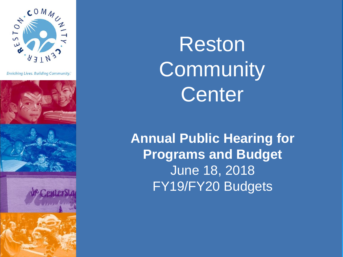

**Enriching Lives. Building Community.** 









Reston **Community** Center

**Annual Public Hearing for Programs and Budget**  June 18, 2018 FY19/FY20 Budgets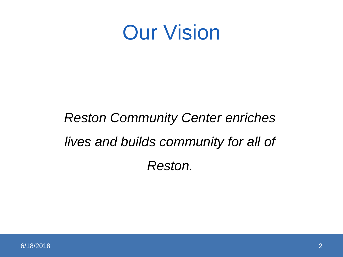

## *Reston Community Center enriches lives and builds community for all of Reston.*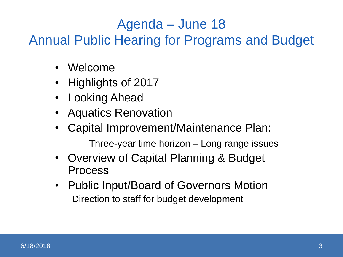### Agenda – June 18

Annual Public Hearing for Programs and Budget

- Welcome
- Highlights of 2017
- Looking Ahead
- Aquatics Renovation
- Capital Improvement/Maintenance Plan: Three-year time horizon – Long range issues
- Overview of Capital Planning & Budget Process
- Public Input/Board of Governors Motion Direction to staff for budget development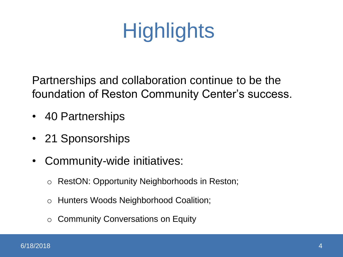# **Highlights**

Partnerships and collaboration continue to be the foundation of Reston Community Center's success.

- 40 Partnerships
- 21 Sponsorships
- Community-wide initiatives:
	- o RestON: Opportunity Neighborhoods in Reston;
	- o Hunters Woods Neighborhood Coalition;
	- o Community Conversations on Equity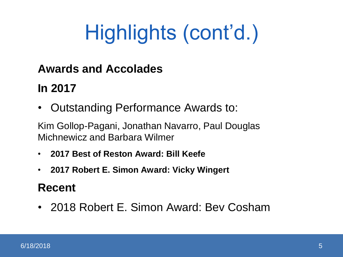### **Awards and Accolades**

### **In 2017**

• Outstanding Performance Awards to:

Kim Gollop-Pagani, Jonathan Navarro, Paul Douglas Michnewicz and Barbara Wilmer

- **2017 Best of Reston Award: Bill Keefe**
- **2017 Robert E. Simon Award: Vicky Wingert**

### **Recent**

• 2018 Robert E. Simon Award: Bev Cosham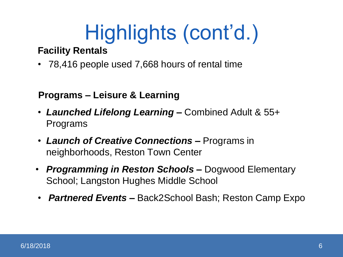#### **Facility Rentals**

• 78,416 people used 7,668 hours of rental time

#### **Programs – Leisure & Learning**

- *Launched Lifelong Learning* **–** Combined Adult & 55+ Programs
- *Launch of Creative Connections –* Programs in neighborhoods, Reston Town Center
- *Programming in Reston Schools –* Dogwood Elementary School; Langston Hughes Middle School
- *Partnered Events* **–** Back2School Bash; Reston Camp Expo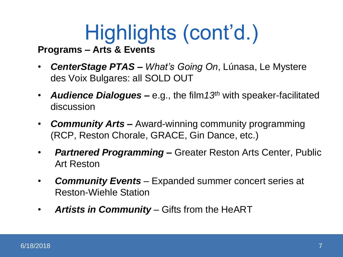#### **Programs – Arts & Events**

- *CenterStage PTAS – What's Going On*, Lúnasa, Le Mystere des Voix Bulgares: all SOLD OUT
- *Audience Dialogues –* e.g., the film*13th* with speaker-facilitated discussion
- *Community Arts –* Award-winning community programming (RCP, Reston Chorale, GRACE, Gin Dance, etc.)
- *Partnered Programming –* Greater Reston Arts Center, Public Art Reston
- *Community Events*  Expanded summer concert series at Reston-Wiehle Station
- *Artists in Community*  Gifts from the HeART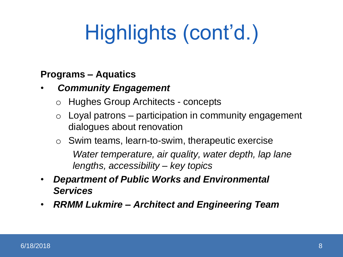#### **Programs – Aquatics**

#### • *Community Engagement*

- o Hughes Group Architects concepts
- $\circ$  Loyal patrons participation in community engagement dialogues about renovation
- $\circ$  Swim teams, learn-to-swim, therapeutic exercise *Water temperature, air quality, water depth, lap lane lengths, accessibility – key topics*
- *Department of Public Works and Environmental Services*
- *RRMM Lukmire – Architect and Engineering Team*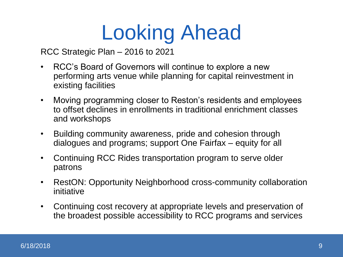## Looking Ahead

RCC Strategic Plan – 2016 to 2021

- RCC's Board of Governors will continue to explore a new performing arts venue while planning for capital reinvestment in existing facilities
- Moving programming closer to Reston's residents and employees to offset declines in enrollments in traditional enrichment classes and workshops
- Building community awareness, pride and cohesion through dialogues and programs; support One Fairfax – equity for all
- Continuing RCC Rides transportation program to serve older patrons
- RestON: Opportunity Neighborhood cross-community collaboration initiative
- Continuing cost recovery at appropriate levels and preservation of the broadest possible accessibility to RCC programs and services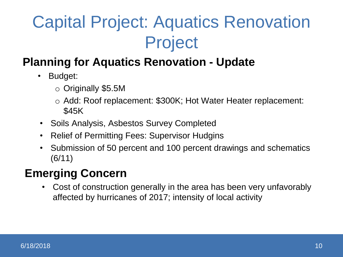## Capital Project: Aquatics Renovation Project

### **Planning for Aquatics Renovation - Update**

- Budget:
	- o Originally \$5.5M
	- o Add: Roof replacement: \$300K; Hot Water Heater replacement: \$45K
- Soils Analysis, Asbestos Survey Completed
- Relief of Permitting Fees: Supervisor Hudgins
- Submission of 50 percent and 100 percent drawings and schematics (6/11)

### **Emerging Concern**

• Cost of construction generally in the area has been very unfavorably affected by hurricanes of 2017; intensity of local activity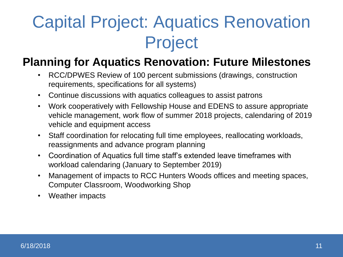## Capital Project: Aquatics Renovation Project

#### **Planning for Aquatics Renovation: Future Milestones**

- RCC/DPWES Review of 100 percent submissions (drawings, construction requirements, specifications for all systems)
- Continue discussions with aquatics colleagues to assist patrons
- Work cooperatively with Fellowship House and EDENS to assure appropriate vehicle management, work flow of summer 2018 projects, calendaring of 2019 vehicle and equipment access
- Staff coordination for relocating full time employees, reallocating workloads, reassignments and advance program planning
- Coordination of Aquatics full time staff's extended leave timeframes with workload calendaring (January to September 2019)
- Management of impacts to RCC Hunters Woods offices and meeting spaces, Computer Classroom, Woodworking Shop
- Weather impacts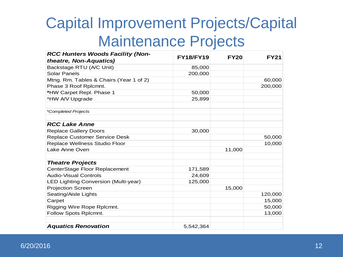## Capital Improvement Projects/Capital Maintenance Projects

| <b>RCC Hunters Woods Facility (Non-</b> |                  |             |             |
|-----------------------------------------|------------------|-------------|-------------|
| theatre, Non-Aquatics)                  | <b>FY18/FY19</b> | <b>FY20</b> | <b>FY21</b> |
| Backstage RTU (A/C Unit)                | 85,000           |             |             |
| <b>Solar Panels</b>                     | 200,000          |             |             |
| Mtng. Rm. Tables & Chairs (Year 1 of 2) |                  |             | 60,000      |
| Phase 3 Roof Rplcmnt.                   |                  |             | 200,000     |
| *HW Carpet Repl. Phase 1                | 50,000           |             |             |
| *HW A/V Upgrade                         | 25,899           |             |             |
| *Completed Projects                     |                  |             |             |
| <b>RCC Lake Anne</b>                    |                  |             |             |
| <b>Replace Gallery Doors</b>            | 30,000           |             |             |
| <b>Replace Customer Service Desk</b>    |                  |             | 50,000      |
| Replace Wellness Studio Floor           |                  |             | 10,000      |
| Lake Anne Oven                          |                  | 11,000      |             |
| <b>Theatre Projects</b>                 |                  |             |             |
| CenterStage Floor Replacement           | 171,589          |             |             |
| <b>Audio-Visual Controls</b>            | 24,609           |             |             |
| LED Lighting Conversion (Multi-year)    | 125,000          |             |             |
| <b>Projection Screen</b>                |                  | 15,000      |             |
| Seating/Aisle Lights                    |                  |             | 120,000     |
| Carpet                                  |                  |             | 15,000      |
| Rigging Wire Rope Rplcmnt.              |                  |             | 50,000      |
| Follow Spots Rplcmnt.                   |                  |             | 13,000      |
| <b>Aquatics Renovation</b>              | 5,542,364        |             |             |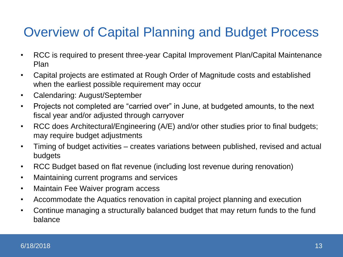## Overview of Capital Planning and Budget Process

- RCC is required to present three-year Capital Improvement Plan/Capital Maintenance Plan
- Capital projects are estimated at Rough Order of Magnitude costs and established when the earliest possible requirement may occur
- Calendaring: August/September
- Projects not completed are "carried over" in June, at budgeted amounts, to the next fiscal year and/or adjusted through carryover
- RCC does Architectural/Engineering (A/E) and/or other studies prior to final budgets; may require budget adjustments
- Timing of budget activities creates variations between published, revised and actual budgets
- RCC Budget based on flat revenue (including lost revenue during renovation)
- Maintaining current programs and services
- Maintain Fee Waiver program access
- Accommodate the Aquatics renovation in capital project planning and execution
- Continue managing a structurally balanced budget that may return funds to the fund balance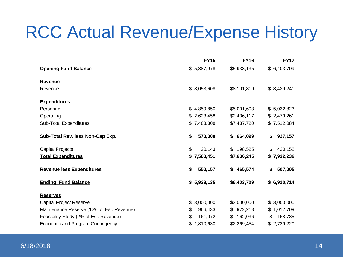## RCC Actual Revenue/Expense History

|                                           | <b>FY15</b>     | <b>FY16</b>    | <b>FY17</b>   |
|-------------------------------------------|-----------------|----------------|---------------|
| <b>Opening Fund Balance</b>               | \$5,387,978     | \$5,938,135    | \$6,403,709   |
| <b>Revenue</b>                            |                 |                |               |
| Revenue                                   | \$8,053,608     | \$8,101,819    | \$8,439,241   |
| <b>Expenditures</b>                       |                 |                |               |
| Personnel                                 | \$4,859,850     | \$5,001,603    | \$5,032,823   |
| Operating                                 | \$2,623,458     | \$2,436,117    | \$2,479,261   |
| Sub-Total Expenditures                    | \$7,483,308     | \$7,437,720    | \$7,512,084   |
| Sub-Total Rev. less Non-Cap Exp.          | \$<br>570,300   | 664,099<br>\$  | \$<br>927,157 |
| <b>Capital Projects</b>                   | \$<br>20,143    | \$198,525      | 420,152<br>\$ |
| <b>Total Expenditures</b>                 | \$7,503,451     | \$7,636,245    | \$7,932,236   |
| <b>Revenue less Expenditures</b>          | \$<br>550,157   | \$465,574      | 507,005<br>\$ |
| <b>Ending Fund Balance</b>                | \$5,938,135     | \$6,403,709    | \$6,910,714   |
| <b>Reserves</b>                           |                 |                |               |
| <b>Capital Project Reserve</b>            | \$3,000,000     | \$3,000,000    | \$3,000,000   |
| Maintenance Reserve (12% of Est. Revenue) | \$<br>966,433   | 972,218<br>\$  | \$1,012,709   |
| Feasibility Study (2% of Est. Revenue)    | \$<br>161,072   | 162,036<br>\$. | \$<br>168,785 |
| Economic and Program Contingency          | \$<br>1,810,630 | \$2,269,454    | \$2,729,220   |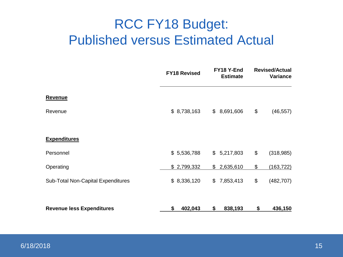## RCC FY18 Budget: Published versus Estimated Actual

|                                    | <b>FY18 Revised</b> |                | FY18 Y-End<br><b>Estimate</b> | <b>Revised/Actual</b><br>Variance |
|------------------------------------|---------------------|----------------|-------------------------------|-----------------------------------|
| <u>Revenue</u>                     |                     |                |                               |                                   |
| Revenue                            | \$8,738,163         | $\mathfrak{S}$ | 8,691,606                     | \$<br>(46, 557)                   |
|                                    |                     |                |                               |                                   |
| <b>Expenditures</b>                |                     |                |                               |                                   |
| Personnel                          | \$5,536,788         |                | \$5,217,803                   | \$<br>(318, 985)                  |
| Operating                          | \$2,799,332         |                | \$2,635,610                   | \$<br>(163, 722)                  |
| Sub-Total Non-Capital Expenditures | \$8,336,120         | \$             | 7,853,413                     | \$<br>(482, 707)                  |
|                                    |                     |                |                               |                                   |
| <b>Revenue less Expenditures</b>   | 402,043<br>\$       | \$             | 838,193                       | \$<br>436,150                     |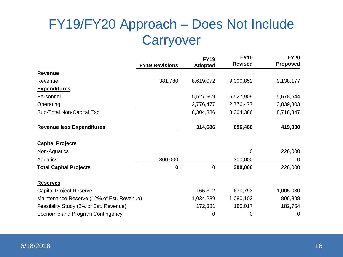## FY19/FY20 Approach – Does Not Include **Carryover**

|                                           |                       | <b>FY19</b>    | <b>FY19</b><br><b>Revised</b> | <b>FY20</b><br><b>Proposed</b> |
|-------------------------------------------|-----------------------|----------------|-------------------------------|--------------------------------|
|                                           | <b>FY19 Revisions</b> | <b>Adopted</b> |                               |                                |
| <b>Revenue</b>                            |                       |                |                               |                                |
| Revenue                                   | 381,780               | 8,619,072      | 9,000,852                     | 9,138,177                      |
| <b>Expenditures</b>                       |                       |                |                               |                                |
| Personnel                                 |                       | 5,527,909      | 5,527,909                     | 5,678,544                      |
| Operating                                 |                       | 2,776,477      | 2,776,477                     | 3,039,803                      |
| Sub-Total Non-Capital Exp                 |                       | 8,304,386      | 8,304,386                     | 8,718,347                      |
| <b>Revenue less Expenditures</b>          |                       | 314,686        | 696,466                       | 419,830                        |
| <b>Capital Projects</b>                   |                       |                |                               |                                |
| Non-Aquatics                              |                       |                | 0                             | 226,000                        |
| Aquatics                                  | 300,000               |                | 300,000                       | 0                              |
| <b>Total Capital Projects</b>             | 0                     | $\overline{0}$ | 300,000                       | 226,000                        |
| <b>Reserves</b>                           |                       |                |                               |                                |
| <b>Capital Project Reserve</b>            |                       | 166,312        | 630,793                       | 1,005,080                      |
| Maintenance Reserve (12% of Est. Revenue) |                       | 1,034,289      | 1,080,102                     | 896,898                        |
| Feasibility Study (2% of Est. Revenue)    |                       | 172,381        | 180,017                       | 182,764                        |
| Economic and Program Contingency          |                       | 0              | 0                             | 0                              |